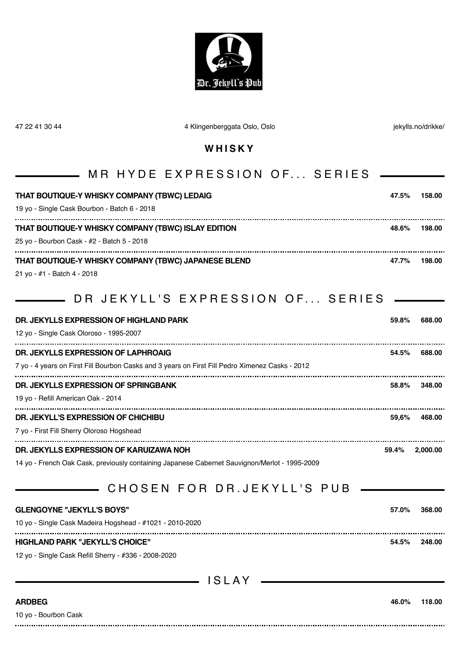

| 47 22 41 30 44                        | 4 Klingenberggata Oslo, Oslo                                                                                                                                            |       | jekylls.no/drikke/ |
|---------------------------------------|-------------------------------------------------------------------------------------------------------------------------------------------------------------------------|-------|--------------------|
|                                       | WHISKY                                                                                                                                                                  |       |                    |
|                                       | MR HYDE EXPRESSION OF SERIES                                                                                                                                            |       |                    |
|                                       | THAT BOUTIQUE-Y WHISKY COMPANY (TBWC) LEDAIG<br>19 yo - Single Cask Bourbon - Batch 6 - 2018                                                                            | 47.5% | 158.00             |
|                                       | THAT BOUTIQUE-Y WHISKY COMPANY (TBWC) ISLAY EDITION<br>25 yo - Bourbon Cask - #2 - Batch 5 - 2018                                                                       | 48.6% | 198.00             |
| 21 yo - #1 - Batch 4 - 2018           | THAT BOUTIQUE-Y WHISKY COMPANY (TBWC) JAPANESE BLEND<br><b>___</b> DR JEKYLL'S EXPRESSION OF SERIES                                                                     | 47.7% | 198.00             |
|                                       | DR. JEKYLLS EXPRESSION OF HIGHLAND PARK<br>12 yo - Single Cask Oloroso - 1995-2007                                                                                      | 59.8% | 688.00             |
|                                       | DR. JEKYLLS EXPRESSION OF LAPHROAIG<br>7 yo - 4 years on First Fill Bourbon Casks and 3 years on First Fill Pedro Ximenez Casks - 2012                                  | 54.5% | 688.00             |
| 19 yo - Refill American Oak - 2014    | DR. JEKYLLS EXPRESSION OF SPRINGBANK                                                                                                                                    | 58.8% | 348.00             |
|                                       | DR. JEKYLL'S EXPRESSION OF CHICHIBU<br>7 yo - First Fill Sherry Oloroso Hogshead                                                                                        | 59,6% | 468.00             |
|                                       | DR. JEKYLLS EXPRESSION OF KARUIZAWA NOH<br>14 yo - French Oak Cask, previously containing Japanese Cabernet Sauvignon/Merlot - 1995-2009<br>CHOSEN FOR DR. JEKYLL'S PUB | 59.4% | 2.000.00           |
| <b>GLENGOYNE "JEKYLL'S BOYS"</b>      | 10 yo - Single Cask Madeira Hogshead - #1021 - 2010-2020                                                                                                                | 57.0% | 368.00             |
|                                       | <b>HIGHLAND PARK "JEKYLL'S CHOICE"</b><br>12 yo - Single Cask Refill Sherry - #336 - 2008-2020                                                                          | 54.5% | 248.00             |
|                                       | ISLAY                                                                                                                                                                   |       |                    |
| <b>ARDBEG</b><br>10 yo - Bourbon Cask |                                                                                                                                                                         | 46.0% | 118.00             |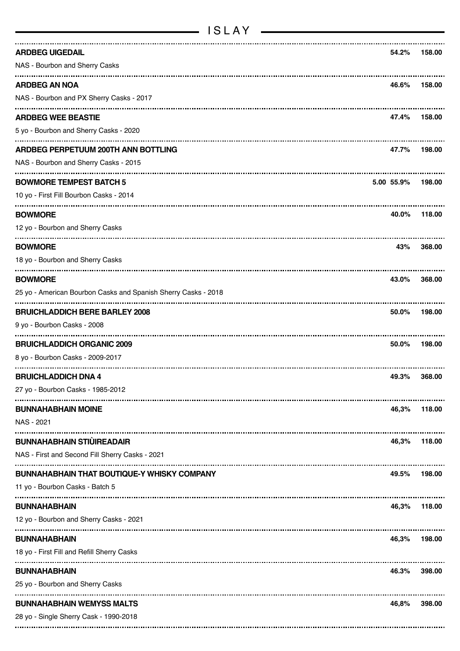| <b>ARDBEG UIGEDAIL</b>                                         | 54.2%      | 158.00 |
|----------------------------------------------------------------|------------|--------|
| NAS - Bourbon and Sherry Casks                                 |            |        |
| <b>ARDBEG AN NOA</b>                                           | 46.6%      | 158.00 |
| NAS - Bourbon and PX Sherry Casks - 2017                       |            |        |
| <b>ARDBEG WEE BEASTIE</b>                                      | 47.4%      | 158.00 |
| 5 yo - Bourbon and Sherry Casks - 2020                         |            |        |
| ARDBEG PERPETUUM 200TH ANN BOTTLING                            | 47.7%      | 198.00 |
| NAS - Bourbon and Sherry Casks - 2015                          |            |        |
| <b>BOWMORE TEMPEST BATCH 5</b>                                 | 5.00 55.9% | 198.00 |
| 10 yo - First Fill Bourbon Casks - 2014                        |            |        |
| <b>BOWMORE</b>                                                 | 40.0%      | 118.00 |
| 12 yo - Bourbon and Sherry Casks                               |            |        |
| <b>BOWMORE</b>                                                 | 43%        | 368,00 |
| 18 yo - Bourbon and Sherry Casks                               |            |        |
| <b>BOWMORE</b>                                                 | 43.0%      | 368.00 |
| 25 yo - American Bourbon Casks and Spanish Sherry Casks - 2018 |            |        |
| <b>BRUICHLADDICH BERE BARLEY 2008</b>                          | 50.0%      | 198.00 |
| 9 yo - Bourbon Casks - 2008                                    |            |        |
| <b>BRUICHLADDICH ORGANIC 2009</b>                              | 50.0%      | 198.00 |
| 8 yo - Bourbon Casks - 2009-2017                               |            |        |
| <b>BRUICHLADDICH DNA 4</b>                                     | 49.3%      | 368.00 |
| 27 yo - Bourbon Casks - 1985-2012                              |            |        |
| <b>BUNNAHABHAIN MOINE</b>                                      | 46,3%      | 118.00 |
| NAS - 2021                                                     |            |        |
| <b>BUNNAHABHAIN STIÙIREADAIR</b>                               | 46,3%      | 118.00 |
| NAS - First and Second Fill Sherry Casks - 2021                |            |        |
| <b>BUNNAHABHAIN THAT BOUTIQUE-Y WHISKY COMPANY</b>             | 49.5%      | 198.00 |
| 11 yo - Bourbon Casks - Batch 5                                |            |        |
| <b>BUNNAHABHAIN</b>                                            | 46,3%      | 118.00 |
| 12 yo - Bourbon and Sherry Casks - 2021                        |            |        |
| <b>BUNNAHABHAIN</b>                                            | 46,3%      | 198.00 |
| 18 yo - First Fill and Refill Sherry Casks                     |            |        |
| <b>BUNNAHABHAIN</b>                                            | 46.3%      | 398.00 |
| 25 yo - Bourbon and Sherry Casks                               |            |        |
| <b>BUNNAHABHAIN WEMYSS MALTS</b>                               | 46,8%      | 398.00 |
| 28 yo - Single Sherry Cask - 1990-2018                         |            |        |
|                                                                |            |        |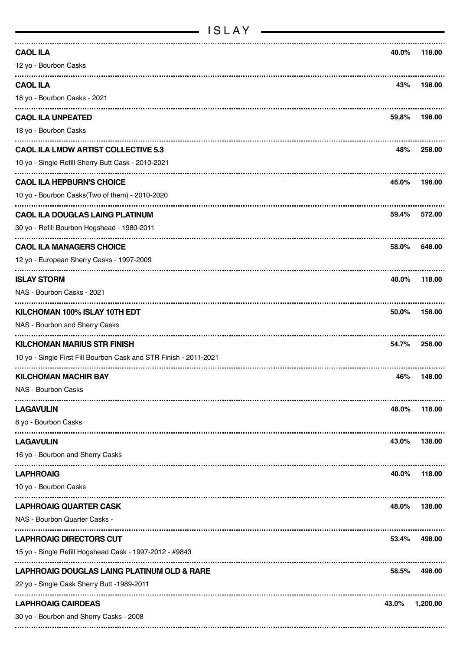| <b>CAOL ILA</b>                                                   | 40.0% | 118.00   |
|-------------------------------------------------------------------|-------|----------|
| 12 yo - Bourbon Casks                                             |       |          |
| <b>CAOL ILA</b>                                                   | 43%   | 198.00   |
| 18 yo - Bourbon Casks - 2021                                      |       |          |
| <b>CAOL ILA UNPEATED</b>                                          | 59,8% | 198.00   |
| 18 yo - Bourbon Casks                                             |       |          |
| <b>CAOL ILA LMDW ARTIST COLLECTIVE 5.3</b>                        | 48%   | 258.00   |
| 10 yo - Single Refill Sherry Butt Cask - 2010-2021                |       |          |
| <b>CAOL ILA HEPBURN'S CHOICE</b>                                  | 46.0% | 198.00   |
| 10 yo - Bourbon Casks(Two of them) - 2010-2020                    |       |          |
| <b>CAOL ILA DOUGLAS LAING PLATINUM</b>                            | 59.4% | 572.00   |
| 30 yo - Refill Bourbon Hogshead - 1980-2011                       |       |          |
| <b>CAOL ILA MANAGERS CHOICE</b>                                   | 58.0% | 648.00   |
| 12 yo - European Sherry Casks - 1997-2009                         |       |          |
| <b>ISLAY STORM</b>                                                | 40.0% | 118.00   |
| NAS - Bourbon Casks - 2021                                        |       |          |
| KILCHOMAN 100% ISLAY 10TH EDT                                     | 50,0% | 158.00   |
| NAS - Bourbon and Sherry Casks                                    |       |          |
| <b>KILCHOMAN MARIUS STR FINISH</b>                                | 54.7% | 258.00   |
| 10 yo - Single First Fill Bourbon Cask and STR Finish - 2011-2021 |       |          |
| <br><b>KILCHOMAN MACHIR BAY</b>                                   | 46%   | 148.00   |
| NAS - Bourbon Casks                                               |       |          |
| <b>LAGAVULIN</b>                                                  | 48.0% | 118.00   |
| 8 yo - Bourbon Casks                                              |       |          |
| <b>LAGAVULIN</b>                                                  | 43.0% | 138.00   |
| 16 yo - Bourbon and Sherry Casks                                  |       |          |
| <b>LAPHROAIG</b>                                                  | 40.0% | 118.00   |
| 10 yo - Bourbon Casks                                             |       |          |
| <b>LAPHROAIG QUARTER CASK</b>                                     | 48.0% | 138.00   |
| NAS - Bourbon Quarter Casks -                                     |       |          |
| <b>LAPHROAIG DIRECTORS CUT</b>                                    | 53.4% | 498.00   |
| 15 yo - Single Refill Hogshead Cask - 1997-2012 - #9843           |       |          |
| LAPHROAIG DOUGLAS LAING PLATINUM OLD & RARE                       | 58.5% | 498.00   |
| 22 yo - Single Cask Sherry Butt -1989-2011                        |       |          |
| <b>LAPHROAIG CAIRDEAS</b>                                         | 43.0% | 1,200.00 |
| 30 yo - Bourbon and Sherry Casks - 2008                           |       |          |
|                                                                   |       |          |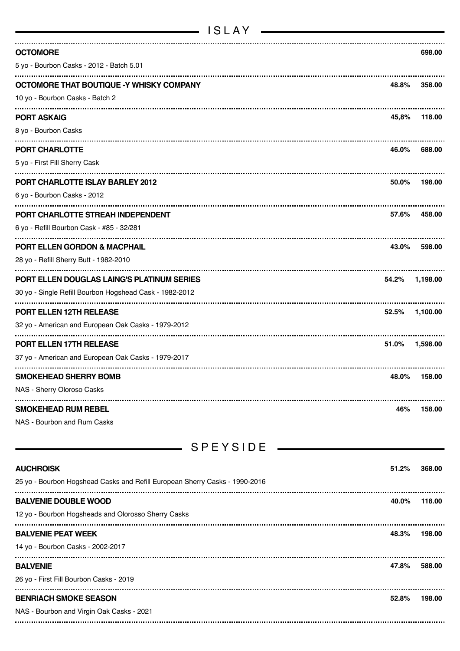| <b>OCTOMORE</b><br>5 yo - Bourbon Casks - 2012 - Batch 5.01                 |       | 698.00   |
|-----------------------------------------------------------------------------|-------|----------|
|                                                                             |       |          |
| OCTOMORE THAT BOUTIQUE -Y WHISKY COMPANY<br>10 yo - Bourbon Casks - Batch 2 | 48.8% | 358.00   |
|                                                                             |       |          |
| <b>PORT ASKAIG</b>                                                          | 45,8% | 118.00   |
| 8 yo - Bourbon Casks                                                        |       |          |
| PORT CHARLOTTE                                                              | 46.0% | 688.00   |
| 5 yo - First Fill Sherry Cask                                               |       |          |
| <b>PORT CHARLOTTE ISLAY BARLEY 2012</b>                                     | 50.0% | 198.00   |
| 6 yo - Bourbon Casks - 2012                                                 |       |          |
| PORT CHARLOTTE STREAH INDEPENDENT                                           | 57.6% | 458.00   |
| 6 yo - Refill Bourbon Cask - #85 - 32/281                                   |       |          |
| <b>PORT ELLEN GORDON &amp; MACPHAIL</b>                                     | 43.0% | 598.00   |
| 28 yo - Refill Sherry Butt - 1982-2010                                      |       |          |
| PORT ELLEN DOUGLAS LAING'S PLATINUM SERIES                                  | 54.2% | 1,198.00 |
| 30 yo - Single Refill Bourbon Hogshead Cask - 1982-2012                     |       |          |
| <b>PORT ELLEN 12TH RELEASE</b>                                              | 52.5% | 1,100.00 |
| 32 yo - American and European Oak Casks - 1979-2012                         |       |          |
| <b>PORT ELLEN 17TH RELEASE</b>                                              | 51.0% | 1,598.00 |
| 37 yo - American and European Oak Casks - 1979-2017                         |       |          |
| <b>SMOKEHEAD SHERRY BOMB</b>                                                | 48.0% | 158.00   |
| NAS - Sherry Oloroso Casks                                                  |       |          |
| <b>SMOKEHEAD RUM REBEL</b>                                                  | 46%   | 158.00   |
| NAS - Bourbon and Rum Casks                                                 |       |          |
|                                                                             |       |          |
| <b>SPEYSIDE</b>                                                             |       |          |
| <b>AUCHROISK</b>                                                            | 51.2% | 368,00   |
| 25 yo - Bourbon Hogshead Casks and Refill European Sherry Casks - 1990-2016 |       |          |
| <b>BALVENIE DOUBLE WOOD</b>                                                 | 40.0% | 118.00   |
| 12 yo - Bourbon Hogsheads and Olorosso Sherry Casks                         |       |          |
| <b>BALVENIE PEAT WEEK</b>                                                   | 48.3% | 198.00   |
| 14 yo - Bourbon Casks - 2002-2017                                           |       |          |
| <b>BALVENIE</b>                                                             | 47.8% | 588.00   |
| 26 yo - First Fill Bourbon Casks - 2019                                     |       |          |
| <br><b>BENRIACH SMOKE SEASON</b>                                            | 52.8% | 198.00   |
| NAS - Bourbon and Virgin Oak Casks - 2021                                   |       |          |
|                                                                             |       |          |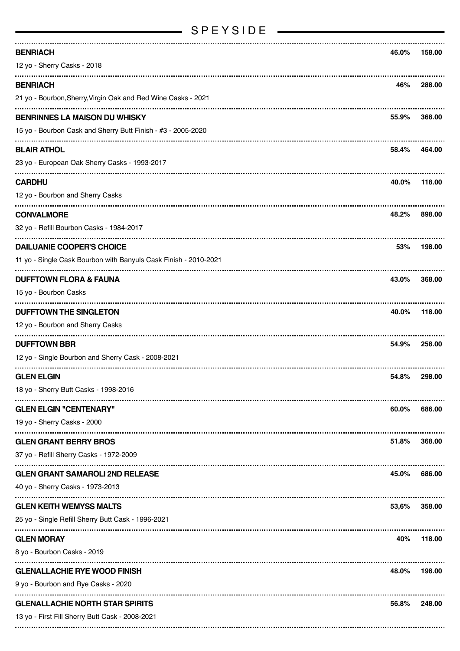## SPEYSIDE —

| <b>BENRIACH</b>                                                  | 46.0% | 158.00 |
|------------------------------------------------------------------|-------|--------|
| 12 yo - Sherry Casks - 2018                                      |       |        |
| <b>BENRIACH</b>                                                  | 46%   | 288.00 |
| 21 yo - Bourbon, Sherry, Virgin Oak and Red Wine Casks - 2021    |       |        |
| <b>BENRINNES LA MAISON DU WHISKY</b>                             | 55.9% | 368.00 |
| 15 yo - Bourbon Cask and Sherry Butt Finish - #3 - 2005-2020     |       |        |
| <b>BLAIR ATHOL</b>                                               | 58.4% | 464.00 |
| 23 yo - European Oak Sherry Casks - 1993-2017                    |       |        |
| <b>CARDHU</b>                                                    | 40.0% | 118.00 |
| 12 yo - Bourbon and Sherry Casks                                 |       |        |
| <b>CONVALMORE</b>                                                | 48.2% | 898.00 |
| 32 yo - Refill Bourbon Casks - 1984-2017                         |       |        |
| <b>DAILUANIE COOPER'S CHOICE</b>                                 | 53%   | 198.00 |
| 11 yo - Single Cask Bourbon with Banyuls Cask Finish - 2010-2021 |       |        |
| <b>DUFFTOWN FLORA &amp; FAUNA</b>                                | 43.0% | 368.00 |
| 15 yo - Bourbon Casks                                            |       |        |
| <b>DUFFTOWN THE SINGLETON</b>                                    | 40.0% | 118.00 |
| 12 yo - Bourbon and Sherry Casks                                 |       |        |
| <b>DUFFTOWN BBR</b>                                              | 54.9% | 258.00 |
| 12 yo - Single Bourbon and Sherry Cask - 2008-2021               |       |        |
| <b>GLEN ELGIN</b>                                                | 54.8% | 298.00 |
| 18 yo - Sherry Butt Casks - 1998-2016                            |       |        |
| <b>GLEN ELGIN "CENTENARY"</b>                                    | 60.0% | 686.00 |
| 19 yo - Sherry Casks - 2000                                      |       |        |
| <b>GLEN GRANT BERRY BROS</b>                                     | 51.8% | 368.00 |
| 37 yo - Refill Sherry Casks - 1972-2009                          |       |        |
| <b>GLEN GRANT SAMAROLI 2ND RELEASE</b>                           | 45.0% | 686.00 |
| 40 yo - Sherry Casks - 1973-2013                                 |       |        |
| <b>GLEN KEITH WEMYSS MALTS</b>                                   | 53,6% | 358.00 |
| 25 yo - Single Refill Sherry Butt Cask - 1996-2021               |       |        |
| <b>GLEN MORAY</b>                                                | 40%   | 118.00 |
| 8 yo - Bourbon Casks - 2019                                      |       |        |
| <b>GLENALLACHIE RYE WOOD FINISH</b>                              | 48.0% | 198.00 |
| 9 yo - Bourbon and Rye Casks - 2020                              |       |        |
| <b>GLENALLACHIE NORTH STAR SPIRITS</b>                           | 56.8% | 248.00 |
| 13 yo - First Fill Sherry Butt Cask - 2008-2021                  |       |        |
|                                                                  |       |        |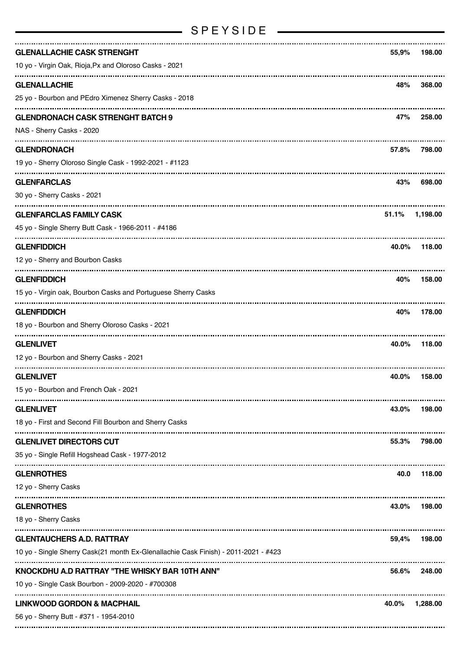| <b>GLENALLACHIE CASK STRENGHT</b>                                                   | 55,9% | 198.00   |
|-------------------------------------------------------------------------------------|-------|----------|
| 10 yo - Virgin Oak, Rioja, Px and Oloroso Casks - 2021                              |       |          |
| <b>GLENALLACHIE</b>                                                                 | 48%   | 368.00   |
| 25 yo - Bourbon and PEdro Ximenez Sherry Casks - 2018                               |       |          |
| <b>GLENDRONACH CASK STRENGHT BATCH 9</b>                                            | 47%   | 258.00   |
| NAS - Sherry Casks - 2020                                                           |       |          |
| <b>GLENDRONACH</b>                                                                  | 57.8% | 798.00   |
| 19 yo - Sherry Oloroso Single Cask - 1992-2021 - #1123                              |       |          |
| <b>GLENFARCLAS</b>                                                                  | 43%   | 698.00   |
| 30 yo - Sherry Casks - 2021                                                         |       |          |
| <b>GLENFARCLAS FAMILY CASK</b>                                                      | 51.1% | 1,198.00 |
| 45 yo - Single Sherry Butt Cask - 1966-2011 - #4186                                 |       |          |
| <b>GLENFIDDICH</b>                                                                  | 40.0% | 118.00   |
| 12 yo - Sherry and Bourbon Casks                                                    |       |          |
| <b>GLENFIDDICH</b>                                                                  | 40%   | 158.00   |
| 15 yo - Virgin oak, Bourbon Casks and Portuguese Sherry Casks                       |       |          |
| <b>GLENFIDDICH</b>                                                                  | 40%   | 178.00   |
| 18 yo - Bourbon and Sherry Oloroso Casks - 2021                                     |       |          |
| <b>GLENLIVET</b>                                                                    | 40.0% | 118.00   |
| 12 yo - Bourbon and Sherry Casks - 2021                                             |       |          |
| <b>GLENLIVET</b>                                                                    | 40.0% | 158.00   |
| 15 yo - Bourbon and French Oak - 2021                                               |       |          |
| <b>GLENLIVET</b>                                                                    | 43.0% | 198.00   |
| 18 yo - First and Second Fill Bourbon and Sherry Casks                              |       |          |
| <b>GLENLIVET DIRECTORS CUT</b>                                                      | 55.3% | 798.00   |
| 35 yo - Single Refill Hogshead Cask - 1977-2012                                     |       |          |
| <b>GLENROTHES</b>                                                                   | 40.0  | 118.00   |
| 12 yo - Sherry Casks                                                                |       |          |
| <b>GLENROTHES</b>                                                                   | 43.0% | 198.00   |
| 18 yo - Sherry Casks                                                                |       |          |
| <b>GLENTAUCHERS A.D. RATTRAY</b>                                                    | 59,4% | 198.00   |
| 10 yo - Single Sherry Cask(21 month Ex-Glenallachie Cask Finish) - 2011-2021 - #423 |       |          |
| KNOCKDHU A.D RATTRAY "THE WHISKY BAR 10TH ANN"                                      | 56.6% | 248.00   |
| 10 yo - Single Cask Bourbon - 2009-2020 - #700308                                   |       |          |
| <b>LINKWOOD GORDON &amp; MACPHAIL</b>                                               | 40.0% | 1,288.00 |
| 56 yo - Sherry Butt - #371 - 1954-2010                                              |       |          |
|                                                                                     |       |          |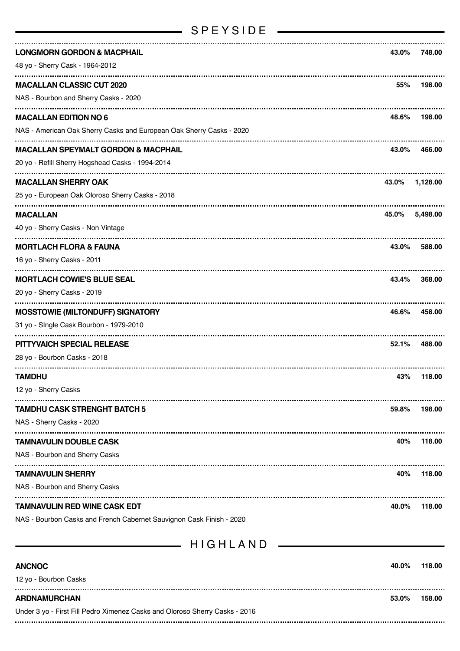### SPEYSIDE —

| <b>LONGMORN GORDON &amp; MACPHAIL</b>                                | 43.0% | 748.00   |
|----------------------------------------------------------------------|-------|----------|
| 48 yo - Sherry Cask - 1964-2012                                      |       |          |
| <b>MACALLAN CLASSIC CUT 2020</b>                                     | 55%   | 198.00   |
| NAS - Bourbon and Sherry Casks - 2020                                |       |          |
| <b>MACALLAN EDITION NO 6</b>                                         | 48.6% | 198.00   |
| NAS - American Oak Sherry Casks and European Oak Sherry Casks - 2020 |       |          |
| <b>MACALLAN SPEYMALT GORDON &amp; MACPHAIL</b>                       | 43.0% | 466.00   |
| 20 yo - Refill Sherry Hogshead Casks - 1994-2014                     |       |          |
| <b>MACALLAN SHERRY OAK</b>                                           | 43.0% | 1,128.00 |
| 25 yo - European Oak Oloroso Sherry Casks - 2018                     |       |          |
| <b>MACALLAN</b>                                                      | 45.0% | 5.498.00 |
| 40 yo - Sherry Casks - Non Vintage                                   |       |          |
| <b>MORTLACH FLORA &amp; FAUNA</b>                                    | 43.0% | 588.00   |
| 16 yo - Sherry Casks - 2011                                          |       |          |
| <b>MORTLACH COWIE'S BLUE SEAL</b>                                    | 43.4% | 368,00   |
| 20 yo - Sherry Casks - 2019                                          |       |          |
| <b>MOSSTOWIE (MILTONDUFF) SIGNATORY</b>                              | 46.6% | 458.00   |
| 31 yo - Single Cask Bourbon - 1979-2010                              |       |          |
| PITTYVAICH SPECIAL RELEASE                                           | 52.1% | 488.00   |
| 28 yo - Bourbon Casks - 2018                                         |       |          |
| TAMDHU                                                               | 43%   | 118.00   |
| 12 yo - Sherry Casks                                                 |       |          |
| <b>TAMDHU CASK STRENGHT BATCH 5</b>                                  | 59.8% | 198.00   |
| NAS - Sherry Casks - 2020                                            |       |          |
| TAMNAVULIN DOUBLE CASK                                               | 40%   | 118.00   |
| NAS - Bourbon and Sherry Casks                                       |       |          |
| <b>TAMNAVULIN SHERRY</b>                                             | 40%   | 118.00   |
| NAS - Bourbon and Sherry Casks                                       |       |          |
| TAMNAVULIN RED WINE CASK EDT                                         | 40.0% | 118.00   |
| NAS - Bourbon Casks and French Cabernet Sauvignon Cask Finish - 2020 |       |          |
| HIGHLAND                                                             |       |          |
|                                                                      |       |          |
| <b>ANCNOC</b>                                                        | 40.0% | 118.00   |
|                                                                      |       |          |

| 12 vo - Bourbon Casks                                                       |       |        |
|-----------------------------------------------------------------------------|-------|--------|
| ARDNAMURCHAN                                                                | 53.0% | 158.00 |
| Under 3 yo - First Fill Pedro Ximenez Casks and Oloroso Sherry Casks - 2016 |       |        |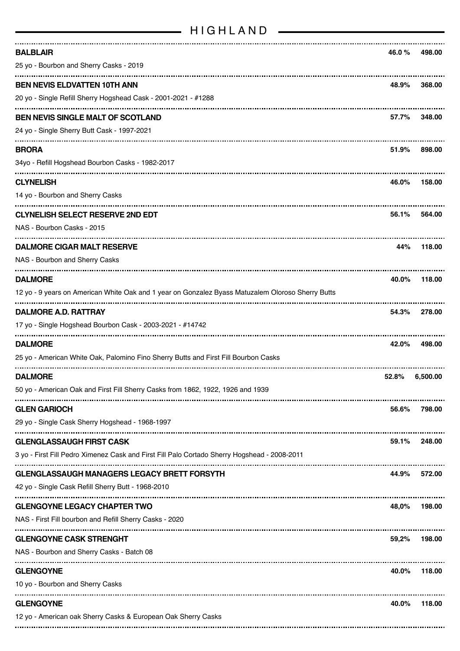### HIGHLAND

| <b>BALBLAIR</b><br>25 yo - Bourbon and Sherry Casks - 2019                                                                      | 46.0 % | 498.00   |
|---------------------------------------------------------------------------------------------------------------------------------|--------|----------|
| <b>BEN NEVIS ELDVATTEN 10TH ANN</b><br>20 yo - Single Refill Sherry Hogshead Cask - 2001-2021 - #1288                           | 48.9%  | 368.00   |
| <b>BEN NEVIS SINGLE MALT OF SCOTLAND</b><br>24 yo - Single Sherry Butt Cask - 1997-2021                                         | 57.7%  | 348.00   |
| <b>BRORA</b><br>34yo - Refill Hogshead Bourbon Casks - 1982-2017                                                                | 51.9%  | 898.00   |
| <b>CLYNELISH</b><br>14 yo - Bourbon and Sherry Casks                                                                            | 46.0%  | 158.00   |
| <b>CLYNELISH SELECT RESERVE 2ND EDT</b><br>NAS - Bourbon Casks - 2015                                                           | 56.1%  | 564.00   |
| <b>DALMORE CIGAR MALT RESERVE</b><br>NAS - Bourbon and Sherry Casks                                                             | 44%    | 118.00   |
| <b>DALMORE</b><br>12 yo - 9 years on American White Oak and 1 year on Gonzalez Byass Matuzalem Oloroso Sherry Butts             | 40.0%  | 118.00   |
| <b>DALMORE A.D. RATTRAY</b><br>17 yo - Single Hogshead Bourbon Cask - 2003-2021 - #14742                                        | 54.3%  | 278.00   |
| <b>DALMORE</b><br>25 yo - American White Oak, Palomino Fino Sherry Butts and First Fill Bourbon Casks                           | 42.0%  | 498.00   |
| <b>DALMORE</b><br>50 yo - American Oak and First Fill Sherry Casks from 1862, 1922, 1926 and 1939                               | 52.8%  | 6,500.00 |
| <b>GLEN GARIOCH</b><br>29 yo - Single Cask Sherry Hogshead - 1968-1997                                                          | 56.6%  | 798.00   |
| <b>GLENGLASSAUGH FIRST CASK</b><br>3 yo - First Fill Pedro Ximenez Cask and First Fill Palo Cortado Sherry Hogshead - 2008-2011 | 59.1%  | 248.00   |
| <b>GLENGLASSAUGH MANAGERS LEGACY BRETT FORSYTH</b><br>42 yo - Single Cask Refill Sherry Butt - 1968-2010                        | 44.9%  | 572.00   |
| <b>GLENGOYNE LEGACY CHAPTER TWO</b><br>NAS - First Fill bourbon and Refill Sherry Casks - 2020                                  | 48,0%  | 198.00   |
| <b>GLENGOYNE CASK STRENGHT</b><br>NAS - Bourbon and Sherry Casks - Batch 08                                                     | 59,2%  | 198.00   |
| <b>GLENGOYNE</b><br>10 yo - Bourbon and Sherry Casks                                                                            | 40.0%  | 118.00   |
| <b>GLENGOYNE</b><br>12 yo - American oak Sherry Casks & European Oak Sherry Casks                                               | 40.0%  | 118.00   |
|                                                                                                                                 |        |          |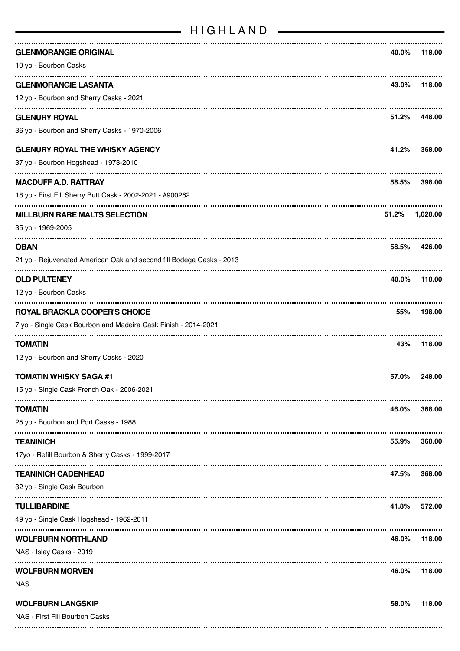| <b>GLENMORANGIE ORIGINAL</b>                                         | 40.0% | 118.00   |
|----------------------------------------------------------------------|-------|----------|
| 10 yo - Bourbon Casks                                                |       |          |
| <b>GLENMORANGIE LASANTA</b>                                          | 43.0% | 118.00   |
| 12 yo - Bourbon and Sherry Casks - 2021                              |       |          |
| <b>GLENURY ROYAL</b>                                                 | 51.2% | 448.00   |
| 36 yo - Bourbon and Sherry Casks - 1970-2006                         |       |          |
| <b>GLENURY ROYAL THE WHISKY AGENCY</b>                               | 41.2% | 368,00   |
| 37 yo - Bourbon Hogshead - 1973-2010                                 |       |          |
| <b>MACDUFF A.D. RATTRAY</b>                                          | 58.5% | 398.00   |
| 18 yo - First Fill Sherry Butt Cask - 2002-2021 - #900262            |       |          |
| <b>MILLBURN RARE MALTS SELECTION</b>                                 | 51.2% | 1,028.00 |
| 35 yo - 1969-2005                                                    |       |          |
| <b>OBAN</b>                                                          | 58.5% | 426.00   |
| 21 yo - Rejuvenated American Oak and second fill Bodega Casks - 2013 |       |          |
| <b>OLD PULTENEY</b>                                                  | 40.0% | 118.00   |
| 12 yo - Bourbon Casks                                                |       |          |
| <b>ROYAL BRACKLA COOPER'S CHOICE</b>                                 | 55%   | 198.00   |
| 7 yo - Single Cask Bourbon and Madeira Cask Finish - 2014-2021       |       |          |
| <b>TOMATIN</b>                                                       | 43%   | 118.00   |
| 12 yo - Bourbon and Sherry Casks - 2020                              |       |          |
| <b>TOMATIN WHISKY SAGA #1</b>                                        | 57.0% | 248.00   |
| 15 yo - Single Cask French Oak - 2006-2021                           |       |          |
| <b>TOMATIN</b>                                                       | 46.0% | 368.00   |
| 25 yo - Bourbon and Port Casks - 1988                                |       |          |
| <b>TEANINICH</b>                                                     | 55.9% | 368.00   |
| 17yo - Refill Bourbon & Sherry Casks - 1999-2017                     |       |          |
| <b>TEANINICH CADENHEAD</b>                                           | 47.5% | 368.00   |
| 32 yo - Single Cask Bourbon                                          |       |          |
| <b>TULLIBARDINE</b>                                                  | 41.8% | 572.00   |
| 49 yo - Single Cask Hogshead - 1962-2011                             |       |          |
| <b>WOLFBURN NORTHLAND</b>                                            | 46.0% | 118.00   |
| NAS - Islay Casks - 2019                                             |       |          |
| <b>WOLFBURN MORVEN</b>                                               | 46.0% | 118.00   |
| <b>NAS</b>                                                           |       |          |
| <b>WOLFBURN LANGSKIP</b>                                             | 58.0% | 118.00   |
| NAS - First Fill Bourbon Casks                                       |       |          |
|                                                                      |       |          |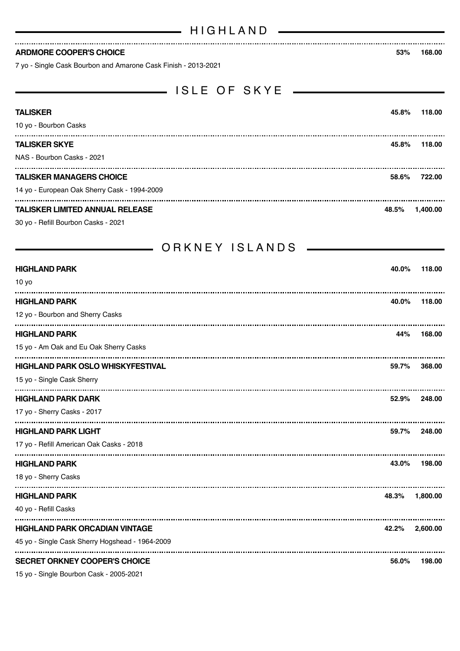\_\_\_ ISLE OF SKYE \_\_\_\_\_\_\_\_

#### **ARDMORE COOPER'S CHOICE 53% 168.00**

7 yo - Single Cask Bourbon and Amarone Cask Finish - 2013-2021

| <b>TALISKER</b>                                 | 45.8% | 118.00   |
|-------------------------------------------------|-------|----------|
| 10 yo - Bourbon Casks                           |       |          |
| <b>TALISKER SKYE</b>                            | 45.8% | 118.00   |
| NAS - Bourbon Casks - 2021                      |       |          |
| <b>TALISKER MANAGERS CHOICE</b>                 | 58.6% | 722.00   |
| 14 yo - European Oak Sherry Cask - 1994-2009    |       |          |
| <b>TALISKER LIMITED ANNUAL RELEASE</b>          | 48.5% | 1,400.00 |
| 30 yo - Refill Bourbon Casks - 2021             |       |          |
| ORKNEY ISLANDS                                  |       |          |
|                                                 |       |          |
| <b>HIGHLAND PARK</b><br>10 y <sub>o</sub>       | 40.0% | 118.00   |
|                                                 |       |          |
| <b>HIGHLAND PARK</b>                            | 40.0% | 118.00   |
| 12 yo - Bourbon and Sherry Casks                |       |          |
| <b>HIGHLAND PARK</b>                            | 44%   | 168.00   |
| 15 yo - Am Oak and Eu Oak Sherry Casks          |       |          |
| <b>HIGHLAND PARK OSLO WHISKYFESTIVAL</b>        | 59.7% | 368.00   |
| 15 yo - Single Cask Sherry                      |       |          |
| <b>HIGHLAND PARK DARK</b>                       | 52.9% | 248.00   |
| 17 yo - Sherry Casks - 2017                     |       |          |
| <b>HIGHLAND PARK LIGHT</b>                      | 59.7% | 248.00   |
| 17 yo - Refill American Oak Casks - 2018        |       |          |
| <b>HIGHLAND PARK</b>                            | 43.0% | 198.00   |
| 18 yo - Sherry Casks                            |       |          |
| <b>HIGHLAND PARK</b>                            | 48.3% | 1,800.00 |
| 40 yo - Refill Casks                            |       |          |
| <b>HIGHLAND PARK ORCADIAN VINTAGE</b>           | 42.2% | 2,600.00 |
| 45 yo - Single Cask Sherry Hogshead - 1964-2009 |       |          |
| <b>SECRET ORKNEY COOPER'S CHOICE</b>            | 56.0% | 198.00   |

15 yo - Single Bourbon Cask - 2005-2021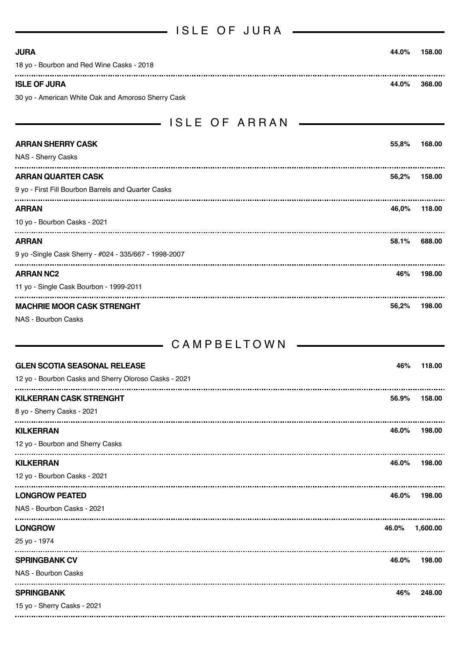| ISLE OF JURA                                          |       |            |
|-------------------------------------------------------|-------|------------|
| <b>JURA</b>                                           | 44.0% | 158.00     |
| 18 yo - Bourbon and Red Wine Casks - 2018             |       |            |
| <b>ISLE OF JURA</b>                                   | 44.0% | 368.00     |
| 30 yo - American White Oak and Amoroso Sherry Cask    |       |            |
| ——— ISLE OF ARRAN                                     |       |            |
| <b>ARRAN SHERRY CASK</b>                              | 55,8% | 168.00     |
| NAS - Sherry Casks                                    |       |            |
| <b>ARRAN QUARTER CASK</b>                             | 56,2% | 158.00     |
| 9 yo - First Fill Bourbon Barrels and Quarter Casks   |       |            |
| <b>ARRAN</b>                                          | 46,0% | 118.00     |
| 10 yo - Bourbon Casks - 2021                          |       |            |
| <b>ARRAN</b>                                          | 58.1% | 688.00     |
| 9 yo -Single Cask Sherry - #024 - 335/667 - 1998-2007 |       |            |
| <b>ARRAN NC2</b>                                      | 46%   | 198.00     |
| 11 yo - Single Cask Bourbon - 1999-2011               |       |            |
| <b>MACHRIE MOOR CASK STRENGHT</b>                     | 56,2% | 198.00     |
| <b>NAS - Bourbon Casks</b>                            |       |            |
| CAMPBELTOWN                                           |       |            |
| <b>GLEN SCOTIA SEASONAL RELEASE</b>                   | 46%   | 118.00     |
| 12 yo - Bourbon Casks and Sherry Oloroso Casks - 2021 |       |            |
| <b>KILKERRAN CASK STRENGHT</b>                        | 56.9% | 158.00     |
| 8 yo - Sherry Casks - 2021                            |       |            |
| <b>KILKERRAN</b>                                      | 46.0% | 198.00     |
| 12 yo - Bourbon and Sherry Casks                      |       |            |
| <b>KILKERRAN</b>                                      | 46.0% | 198.00     |
| 12 yo - Bourbon Casks - 2021                          |       |            |
| <b>LONGROW PEATED</b>                                 | 46.0% | <br>198.00 |
| NAS - Bourbon Casks - 2021                            |       |            |
| <b>LONGROW</b>                                        | 46.0% | 1,600.00   |
| 25 yo - 1974                                          |       |            |
| <b>SPRINGBANK CV</b>                                  | 46.0% | 198.00     |
| NAS - Bourbon Casks                                   |       |            |
| <b>SPRINGBANK</b>                                     | 46%   | 248.00     |
| 15 yo - Sherry Casks - 2021                           |       |            |
|                                                       |       |            |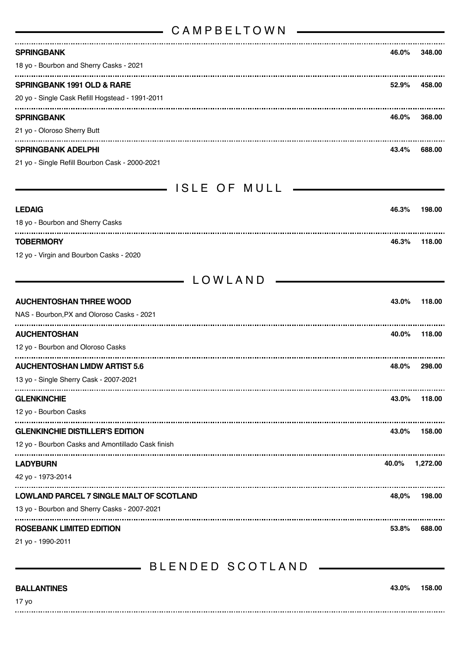### CAMPBEL TOWN

| <b>SPRINGBANK</b>                                 | 46.0% | 348.00   |
|---------------------------------------------------|-------|----------|
| 18 yo - Bourbon and Sherry Casks - 2021           |       |          |
| <b>SPRINGBANK 1991 OLD &amp; RARE</b>             | 52.9% | 458.00   |
| 20 yo - Single Cask Refill Hogstead - 1991-2011   |       |          |
| <b>SPRINGBANK</b>                                 | 46.0% | 368.00   |
| 21 yo - Oloroso Sherry Butt                       |       |          |
| <b>SPRINGBANK ADELPHI</b>                         | 43.4% | 688.00   |
| 21 yo - Single Refill Bourbon Cask - 2000-2021    |       |          |
|                                                   |       |          |
|                                                   |       |          |
| <b>LEDAIG</b>                                     | 46.3% | 198.00   |
| 18 yo - Bourbon and Sherry Casks                  |       |          |
| <b>TOBERMORY</b>                                  | 46.3% | 118.00   |
| 12 yo - Virgin and Bourbon Casks - 2020           |       |          |
| LOWLAND                                           |       |          |
|                                                   |       |          |
| <b>AUCHENTOSHAN THREE WOOD</b>                    | 43.0% | 118.00   |
| NAS - Bourbon, PX and Oloroso Casks - 2021        |       |          |
| <b>AUCHENTOSHAN</b>                               | 40.0% | 118.00   |
| 12 yo - Bourbon and Oloroso Casks                 |       |          |
| <b>AUCHENTOSHAN LMDW ARTIST 5.6</b>               | 48.0% | 298.00   |
| 13 vo - Single Sherry Cask - 2007-2021            |       |          |
| <b>GLENKINCHIE</b>                                | 43.0% | 118.00   |
| 12 yo - Bourbon Casks                             |       |          |
| <b>GLENKINCHIE DISTILLER'S EDITION</b>            | 43.0% | 158.00   |
| 12 yo - Bourbon Casks and Amontillado Cask finish |       |          |
| <b>LADYBURN</b>                                   | 40.0% | 1,272.00 |
| 42 yo - 1973-2014                                 |       |          |
| LOWLAND PARCEL 7 SINGLE MALT OF SCOTLAND          | 48,0% | 198.00   |
| 13 yo - Bourbon and Sherry Casks - 2007-2021      |       |          |
| ROSEBANK LIMITED EDITION                          | 53.8% | 688.00   |
| 21 yo - 1990-2011                                 |       |          |
|                                                   |       |          |

## BLENDED SCOTLAND

| <b>BALLANTINES</b> | 43.0% | 158.00 |
|--------------------|-------|--------|
| 17 yo              |       |        |
|                    |       |        |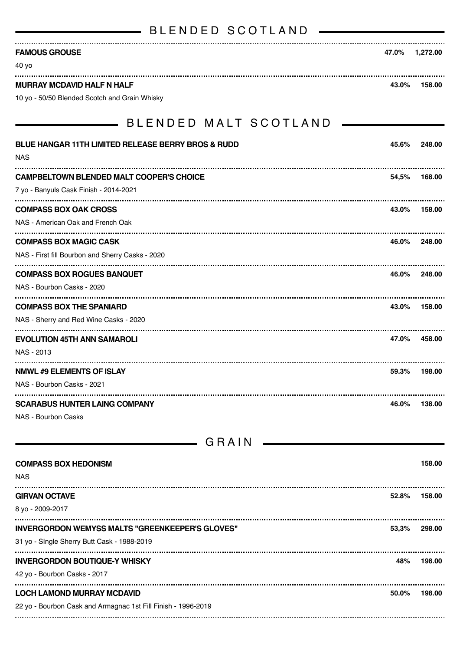# BLENDED SCOTLAND - BLENDED SCOTLAND

| <b>FAMOUS GROUSE</b>                                                                      |       | 47.0% 1,272.00 |
|-------------------------------------------------------------------------------------------|-------|----------------|
| 40 yo                                                                                     |       |                |
| <b>MURRAY MCDAVID HALF N HALF</b>                                                         | 43.0% | 158.00         |
| 10 yo - 50/50 Blended Scotch and Grain Whisky                                             |       |                |
| <b>______</b> BLENDED MALT SCOTLAND                                                       |       |                |
| <b>BLUE HANGAR 11TH LIMITED RELEASE BERRY BROS &amp; RUDD</b><br>NAS                      | 45.6% | 248.00         |
|                                                                                           |       |                |
| <b>CAMPBELTOWN BLENDED MALT COOPER'S CHOICE</b><br>7 yo - Banyuls Cask Finish - 2014-2021 | 54,5% | 168.00         |
|                                                                                           |       |                |
| <b>COMPASS BOX OAK CROSS</b><br>NAS - American Oak and French Oak                         |       | 43.0% 158.00   |
|                                                                                           |       |                |
| <b>COMPASS BOX MAGIC CASK</b><br>NAS - First fill Bourbon and Sherry Casks - 2020         |       | 46.0% 248.00   |
| <b>COMPASS BOX ROGUES BANQUET</b>                                                         | 46.0% | 248.00         |
| NAS - Bourbon Casks - 2020                                                                |       |                |
| <b>COMPASS BOX THE SPANIARD</b>                                                           | 43.0% | 158.00         |
| NAS - Sherry and Red Wine Casks - 2020                                                    |       |                |
| <b>EVOLUTION 45TH ANN SAMAROLI</b>                                                        | 47.0% | 458.00         |
| NAS - 2013                                                                                |       |                |
| <b>NMWL #9 ELEMENTS OF ISLAY</b>                                                          |       | 59.3% 198.00   |
| NAS - Bourbon Casks - 2021                                                                |       |                |
| SCARABUS HUNTER LAING COMPANY                                                             | 46.0% | 138.00         |
|                                                                                           |       |                |

NAS - Bourbon Casks

| GRAIN                                                                                                 |       |        |
|-------------------------------------------------------------------------------------------------------|-------|--------|
| <b>COMPASS BOX HEDONISM</b><br><b>NAS</b>                                                             |       | 158.00 |
| <b>GIRVAN OCTAVE</b><br>8 yo - 2009-2017                                                              | 52.8% | 158.00 |
| <b>INVERGORDON WEMYSS MALTS "GREENKEEPER'S GLOVES"</b><br>31 yo - Single Sherry Butt Cask - 1988-2019 | 53,3% | 298.00 |
| <b>INVERGORDON BOUTIQUE-Y WHISKY</b><br>42 yo - Bourbon Casks - 2017                                  | 48%   | 198.00 |
| <b>LOCH LAMOND MURRAY MCDAVID</b><br>22 yo - Bourbon Cask and Armagnac 1st Fill Finish - 1996-2019    | 50.0% | 198.00 |
|                                                                                                       |       |        |